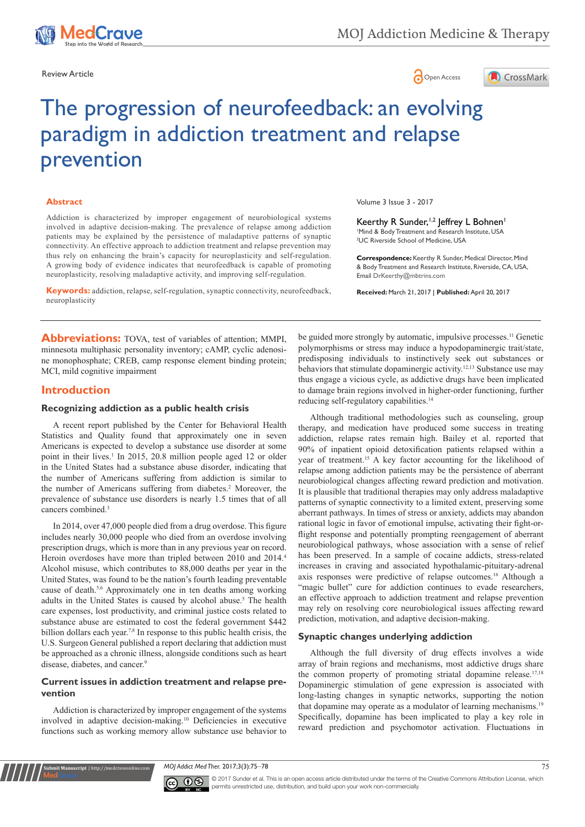





# The progression of neurofeedback: an evolving paradigm in addiction treatment and relapse prevention

#### **Abstract**

Addiction is characterized by improper engagement of neurobiological systems involved in adaptive decision-making. The prevalence of relapse among addiction patients may be explained by the persistence of maladaptive patterns of synaptic connectivity. An effective approach to addiction treatment and relapse prevention may thus rely on enhancing the brain's capacity for neuroplasticity and self-regulation. A growing body of evidence indicates that neurofeedback is capable of promoting neuroplasticity, resolving maladaptive activity, and improving self-regulation.

**Keywords:** addiction, relapse, self-regulation, synaptic connectivity, neurofeedback, neuroplasticity

Volume 3 Issue 3 - 2017

Keerthy R Sunder,<sup>1,2</sup> Jeffrey L Bohnen<sup>1</sup> 1 Mind & Body Treatment and Research Institute, USA 2 UC Riverside School of Medicine, USA

**Correspondence:** Keerthy R Sunder, Medical Director, Mind & Body Treatment and Research Institute, Riverside, CA, USA, Email DrKeerthy@mbtrins.com

**Received:** March 21, 2017 | **Published:** April 20, 2017

**Abbreviations:** TOVA, test of variables of attention; MMPI, minnesota multiphasic personality inventory; cAMP, cyclic adenosine monophosphate; CREB, camp response element binding protein; MCI, mild cognitive impairment

## **Introduction**

#### **Recognizing addiction as a public health crisis**

A recent report published by the Center for Behavioral Health Statistics and Quality found that approximately one in seven Americans is expected to develop a substance use disorder at some point in their lives.<sup>1</sup> In 2015, 20.8 million people aged 12 or older in the United States had a substance abuse disorder, indicating that the number of Americans suffering from addiction is similar to the number of Americans suffering from diabetes.<sup>2</sup> Moreover, the prevalence of substance use disorders is nearly 1.5 times that of all cancers combined.<sup>3</sup>

In 2014, over 47,000 people died from a drug overdose. This figure includes nearly 30,000 people who died from an overdose involving prescription drugs, which is more than in any previous year on record. Heroin overdoses have more than tripled between 2010 and 2014.<sup>4</sup> Alcohol misuse, which contributes to 88,000 deaths per year in the United States, was found to be the nation's fourth leading preventable cause of death.5,6 Approximately one in ten deaths among working adults in the United States is caused by alcohol abuse.<sup>5</sup> The health care expenses, lost productivity, and criminal justice costs related to substance abuse are estimated to cost the federal government \$442 billion dollars each year.<sup>7,8</sup> In response to this public health crisis, the U.S. Surgeon General published a report declaring that addiction must be approached as a chronic illness, alongside conditions such as heart disease, diabetes, and cancer.<sup>9</sup>

## **Current issues in addiction treatment and relapse prevention**

Addiction is characterized by improper engagement of the systems involved in adaptive decision-making.10 Deficiencies in executive functions such as working memory allow substance use behavior to

**it Manuscript** | http://medcraveonline.c

be guided more strongly by automatic, impulsive processes.<sup>11</sup> Genetic polymorphisms or stress may induce a hypodopaminergic trait/state, predisposing individuals to instinctively seek out substances or behaviors that stimulate dopaminergic activity.12,13 Substance use may thus engage a vicious cycle, as addictive drugs have been implicated to damage brain regions involved in higher-order functioning, further reducing self-regulatory capabilities.14

Although traditional methodologies such as counseling, group therapy, and medication have produced some success in treating addiction, relapse rates remain high. Bailey et al. reported that 90% of inpatient opioid detoxification patients relapsed within a year of treatment.15 A key factor accounting for the likelihood of relapse among addiction patients may be the persistence of aberrant neurobiological changes affecting reward prediction and motivation. It is plausible that traditional therapies may only address maladaptive patterns of synaptic connectivity to a limited extent, preserving some aberrant pathways. In times of stress or anxiety, addicts may abandon rational logic in favor of emotional impulse, activating their fight-orflight response and potentially prompting reengagement of aberrant neurobiological pathways, whose association with a sense of relief has been preserved. In a sample of cocaine addicts, stress-related increases in craving and associated hypothalamic-pituitary-adrenal axis responses were predictive of relapse outcomes.16 Although a "magic bullet" cure for addiction continues to evade researchers, an effective approach to addiction treatment and relapse prevention may rely on resolving core neurobiological issues affecting reward prediction, motivation, and adaptive decision-making.

### **Synaptic changes underlying addiction**

Although the full diversity of drug effects involves a wide array of brain regions and mechanisms, most addictive drugs share the common property of promoting striatal dopamine release.<sup>17,18</sup> Dopaminergic stimulation of gene expression is associated with long-lasting changes in synaptic networks, supporting the notion that dopamine may operate as a modulator of learning mechanisms.19 Specifically, dopamine has been implicated to play a key role in reward prediction and psychomotor activation. Fluctuations in

*MOJ Addict Med Ther.* 2017;3(3):75‒78 75



© 2017 Sunder et al. This is an open access article distributed under the terms of the [Creative Commons Attribution License,](https://creativecommons.org/licenses/by-nc/4.0/) which permits unrestricted use, distribution, and build upon your work non-commercially.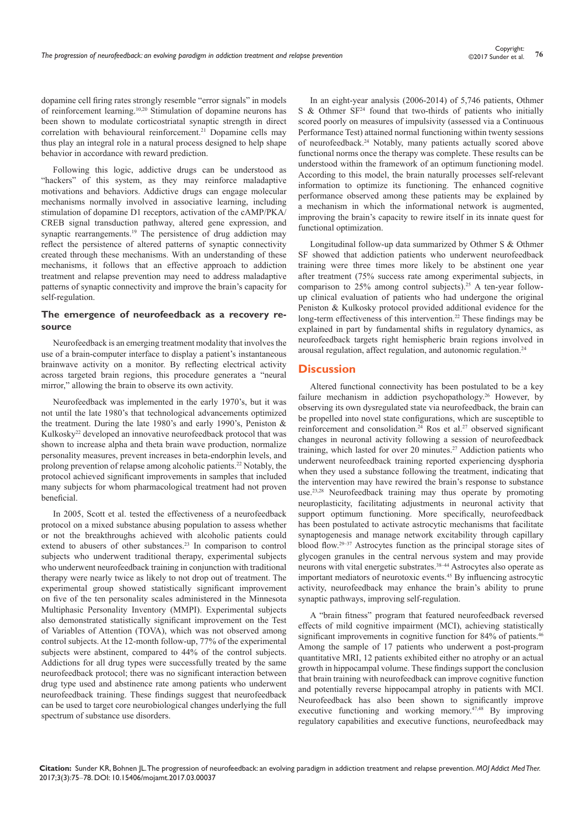dopamine cell firing rates strongly resemble "error signals" in models of reinforcement learning.10,20 Stimulation of dopamine neurons has been shown to modulate corticostriatal synaptic strength in direct correlation with behavioural reinforcement.<sup>21</sup> Dopamine cells may thus play an integral role in a natural process designed to help shape behavior in accordance with reward prediction.

Following this logic, addictive drugs can be understood as "hackers" of this system, as they may reinforce maladaptive motivations and behaviors. Addictive drugs can engage molecular mechanisms normally involved in associative learning, including stimulation of dopamine D1 receptors, activation of the cAMP/PKA/ CREB signal transduction pathway, altered gene expression, and synaptic rearrangements.<sup>19</sup> The persistence of drug addiction may reflect the persistence of altered patterns of synaptic connectivity created through these mechanisms. With an understanding of these mechanisms, it follows that an effective approach to addiction treatment and relapse prevention may need to address maladaptive patterns of synaptic connectivity and improve the brain's capacity for self-regulation.

## **The emergence of neurofeedback as a recovery resource**

Neurofeedback is an emerging treatment modality that involves the use of a brain-computer interface to display a patient's instantaneous brainwave activity on a monitor. By reflecting electrical activity across targeted brain regions, this procedure generates a "neural mirror," allowing the brain to observe its own activity.

Neurofeedback was implemented in the early 1970's, but it was not until the late 1980's that technological advancements optimized the treatment. During the late 1980's and early 1990's, Peniston & Kulkosky<sup>22</sup> developed an innovative neurofeedback protocol that was shown to increase alpha and theta brain wave production, normalize personality measures, prevent increases in beta-endorphin levels, and prolong prevention of relapse among alcoholic patients.22 Notably, the protocol achieved significant improvements in samples that included many subjects for whom pharmacological treatment had not proven beneficial.

In 2005, Scott et al. tested the effectiveness of a neurofeedback protocol on a mixed substance abusing population to assess whether or not the breakthroughs achieved with alcoholic patients could extend to abusers of other substances.<sup>23</sup> In comparison to control subjects who underwent traditional therapy, experimental subjects who underwent neurofeedback training in conjunction with traditional therapy were nearly twice as likely to not drop out of treatment. The experimental group showed statistically significant improvement on five of the ten personality scales administered in the Minnesota Multiphasic Personality Inventory (MMPI). Experimental subjects also demonstrated statistically significant improvement on the Test of Variables of Attention (TOVA), which was not observed among control subjects. At the 12-month follow-up, 77% of the experimental subjects were abstinent, compared to 44% of the control subjects. Addictions for all drug types were successfully treated by the same neurofeedback protocol; there was no significant interaction between drug type used and abstinence rate among patients who underwent neurofeedback training. These findings suggest that neurofeedback can be used to target core neurobiological changes underlying the full spectrum of substance use disorders.

In an eight-year analysis (2006-2014) of 5,746 patients, Othmer S & Othmer  $SF^{24}$  found that two-thirds of patients who initially scored poorly on measures of impulsivity (assessed via a Continuous Performance Test) attained normal functioning within twenty sessions of neurofeedback.24 Notably, many patients actually scored above functional norms once the therapy was complete. These results can be understood within the framework of an optimum functioning model. According to this model, the brain naturally processes self-relevant information to optimize its functioning. The enhanced cognitive performance observed among these patients may be explained by a mechanism in which the informational network is augmented, improving the brain's capacity to rewire itself in its innate quest for functional optimization.

Longitudinal follow-up data summarized by Othmer S & Othmer SF showed that addiction patients who underwent neurofeedback training were three times more likely to be abstinent one year after treatment (75% success rate among experimental subjects, in comparison to  $25\%$  among control subjects).<sup>25</sup> A ten-year followup clinical evaluation of patients who had undergone the original Peniston & Kulkosky protocol provided additional evidence for the long-term effectiveness of this intervention.<sup>22</sup> These findings may be explained in part by fundamental shifts in regulatory dynamics, as neurofeedback targets right hemispheric brain regions involved in arousal regulation, affect regulation, and autonomic regulation.24

## **Discussion**

Altered functional connectivity has been postulated to be a key failure mechanism in addiction psychopathology.<sup>26</sup> However, by observing its own dysregulated state via neurofeedback, the brain can be propelled into novel state configurations, which are susceptible to reinforcement and consolidation.<sup>24</sup> Ros et al.<sup>27</sup> observed significant changes in neuronal activity following a session of neurofeedback training, which lasted for over 20 minutes.27 Addiction patients who underwent neurofeedback training reported experiencing dysphoria when they used a substance following the treatment, indicating that the intervention may have rewired the brain's response to substance use.<sup>23,28</sup> Neurofeedback training may thus operate by promoting neuroplasticity, facilitating adjustments in neuronal activity that support optimum functioning. More specifically, neurofeedback has been postulated to activate astrocytic mechanisms that facilitate synaptogenesis and manage network excitability through capillary blood flow.<sup>29–37</sup> Astrocytes function as the principal storage sites of glycogen granules in the central nervous system and may provide neurons with vital energetic substrates.<sup>38-44</sup> Astrocytes also operate as important mediators of neurotoxic events.45 By influencing astrocytic activity, neurofeedback may enhance the brain's ability to prune synaptic pathways, improving self-regulation.

A "brain fitness" program that featured neurofeedback reversed effects of mild cognitive impairment (MCI), achieving statistically significant improvements in cognitive function for 84% of patients.<sup>46</sup> Among the sample of 17 patients who underwent a post-program quantitative MRI, 12 patients exhibited either no atrophy or an actual growth in hippocampal volume. These findings support the conclusion that brain training with neurofeedback can improve cognitive function and potentially reverse hippocampal atrophy in patients with MCI. Neurofeedback has also been shown to significantly improve executive functioning and working memory.<sup>47,48</sup> By improving regulatory capabilities and executive functions, neurofeedback may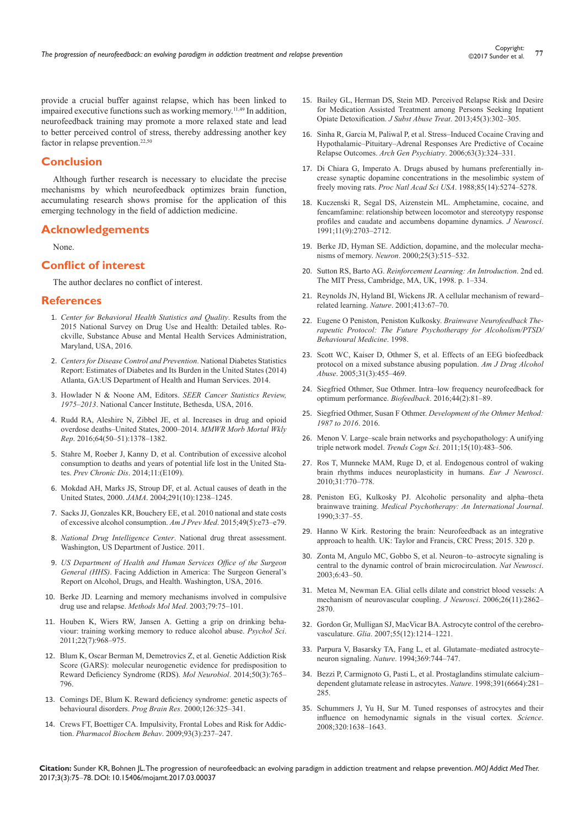provide a crucial buffer against relapse, which has been linked to impaired executive functions such as working memory.<sup>11,49</sup> In addition, neurofeedback training may promote a more relaxed state and lead to better perceived control of stress, thereby addressing another key factor in relapse prevention.<sup>22,50</sup>

# **Conclusion**

Although further research is necessary to elucidate the precise mechanisms by which neurofeedback optimizes brain function, accumulating research shows promise for the application of this emerging technology in the field of addiction medicine.

## **Acknowledgements**

None.

# **Conflict of interest**

The author declares no conflict of interest.

#### **References**

- 1. *[Center for Behavioral Health Statistics and Quality](https://www.samhsa.gov/data/sites/default/files/NSDUH-DetTabs-2015/NSDUH-DetTabs-2015/NSDUH-DetTabs-2015.pdf)*. Results from the [2015 National Survey on Drug Use and Health: Detailed tables. Ro](https://www.samhsa.gov/data/sites/default/files/NSDUH-DetTabs-2015/NSDUH-DetTabs-2015/NSDUH-DetTabs-2015.pdf)[ckville, Substance Abuse and Mental Health Services Administration,](https://www.samhsa.gov/data/sites/default/files/NSDUH-DetTabs-2015/NSDUH-DetTabs-2015/NSDUH-DetTabs-2015.pdf)  [Maryland, USA, 2016.](https://www.samhsa.gov/data/sites/default/files/NSDUH-DetTabs-2015/NSDUH-DetTabs-2015/NSDUH-DetTabs-2015.pdf)
- 2. *[Centers for Disease Control and Prevention](https://www.cdc.gov/diabetes/data/statistics/2014statisticsreport.html)*. National Diabetes Statistics [Report: Estimates of Diabetes and Its Burden in the United States \(2014\)](https://www.cdc.gov/diabetes/data/statistics/2014statisticsreport.html)  [Atlanta, GA:US Department of Health and Human Services. 2014.](https://www.cdc.gov/diabetes/data/statistics/2014statisticsreport.html)
- 3. [Howlader N & Noone AM, Editors.](https://seer.cancer.gov/csr/1975_2013/) *SEER Cancer Statistics Review, 1975–2013*[. National Cancer Institute, Bethesda, USA, 2016.](https://seer.cancer.gov/csr/1975_2013/)
- 4. [Rudd RA, Aleshire N, Zibbel JE, et al. Increases in drug and opioid](https://www.ncbi.nlm.nih.gov/pubmed/26720857)  [overdose deaths–United States, 2000–2014.](https://www.ncbi.nlm.nih.gov/pubmed/26720857) *MMWR Morb Mortal Wkly Rep*[. 2016;64\(50–51\):1378–1382.](https://www.ncbi.nlm.nih.gov/pubmed/26720857)
- 5. [Stahre M, Roeber J, Kanny D, et al. Contribution of excessive alcohol](https://www.cdc.gov/pcd/issues/2014/13_0293.htm)  [consumption to deaths and years of potential life lost in the United Sta](https://www.cdc.gov/pcd/issues/2014/13_0293.htm)tes. *Prev Chronic Dis*[. 2014;11:\(E109\).](https://www.cdc.gov/pcd/issues/2014/13_0293.htm)
- 6. [Mokdad AH, Marks JS, Stroup DF, et al. Actual causes of death in the](https://www.ncbi.nlm.nih.gov/pubmed/15010446)  United States, 2000. *JAMA*[. 2004;291\(10\):1238–1245.](https://www.ncbi.nlm.nih.gov/pubmed/15010446)
- 7. [Sacks JJ, Gonzales KR, Bouchery EE, et al. 2010 national and state costs](https://www.ncbi.nlm.nih.gov/pubmed/26477807)  [of excessive alcohol consumption.](https://www.ncbi.nlm.nih.gov/pubmed/26477807) *Am J Prev Med*. 2015;49(5):e73–e79.
- 8. *National Drug Intelligence Center*[. National drug threat assessment.](https://www.justice.gov/archive/ndic/)  [Washington, US Department of Justice. 2011.](https://www.justice.gov/archive/ndic/)
- 9. *[US Department of Health and Human Services Office of the Surgeon](https://addiction.surgeongeneral.gov/surgeon-generals-report.pdf)  General (HHS)*[. Facing Addiction in America: The Surgeon General's](https://addiction.surgeongeneral.gov/surgeon-generals-report.pdf)  [Report on Alcohol, Drugs, and Health. Washington, USA, 2016.](https://addiction.surgeongeneral.gov/surgeon-generals-report.pdf)
- 10. [Berke JD. Learning and memory mechanisms involved in compulsive](https://www.ncbi.nlm.nih.gov/pubmed/12506691)  [drug use and relapse.](https://www.ncbi.nlm.nih.gov/pubmed/12506691) *Methods Mol Med*. 2003;79:75–101.
- 11. [Houben K, Wiers RW, Jansen A. Getting a grip on drinking beha](https://www.ncbi.nlm.nih.gov/pubmed/21685380)[viour: training working memory to reduce alcohol abuse.](https://www.ncbi.nlm.nih.gov/pubmed/21685380) *Psychol Sci*. [2011;22\(7\):968–975.](https://www.ncbi.nlm.nih.gov/pubmed/21685380)
- 12. [Blum K, Oscar Berman M, Demetrovics Z, et al. Genetic Addiction Risk](https://www.ncbi.nlm.nih.gov/pubmed/24878765)  [Score \(GARS\): molecular neurogenetic evidence for predisposition to](https://www.ncbi.nlm.nih.gov/pubmed/24878765)  [Reward Deficiency Syndrome \(RDS\).](https://www.ncbi.nlm.nih.gov/pubmed/24878765) *Mol Neurobiol*. 2014;50(3):765– [796.](https://www.ncbi.nlm.nih.gov/pubmed/24878765)
- 13. [Comings DE, Blum K. Reward deficiency syndrome: genetic aspects of](https://www.ncbi.nlm.nih.gov/pubmed/11105655)  [behavioural disorders.](https://www.ncbi.nlm.nih.gov/pubmed/11105655) *Prog Brain Res*. 2000;126:325–341.
- 14. [Crews FT, Boettiger CA. Impulsivity, Frontal Lobes and Risk for Addic](https://www.ncbi.nlm.nih.gov/pubmed/19410598)tion. *[Pharmacol Biochem Behav](https://www.ncbi.nlm.nih.gov/pubmed/19410598)*. 2009;93(3):237–247.
- 15. [Bailey GL, Herman DS, Stein MD. Perceived Relapse Risk and Desire](https://www.ncbi.nlm.nih.gov/pubmed/23786852)  [for Medication Assisted Treatment among Persons Seeking Inpatient](https://www.ncbi.nlm.nih.gov/pubmed/23786852)  [Opiate Detoxification.](https://www.ncbi.nlm.nih.gov/pubmed/23786852) *J Subst Abuse Treat*. 2013;45(3):302–305.
- 16. [Sinha R, Garcia M, Paliwal P, et al. Stress–Induced Cocaine Craving and](https://www.ncbi.nlm.nih.gov/pubmed/16520439)  [Hypothalamic–Pituitary–Adrenal Responses Are Predictive of Cocaine](https://www.ncbi.nlm.nih.gov/pubmed/16520439)  Relapse Outcomes. *Arch Gen Psychiatry*[. 2006;63\(3\):324–331.](https://www.ncbi.nlm.nih.gov/pubmed/16520439)
- 17. [Di Chiara G, Imperato A. Drugs abused by humans preferentially in](https://www.ncbi.nlm.nih.gov/pubmed/2899326)[crease synaptic dopamine concentrations in the mesolimbic system of](https://www.ncbi.nlm.nih.gov/pubmed/2899326)  freely moving rats. *Proc Natl Acad Sci USA*[. 1988;85\(14\):5274–5278.](https://www.ncbi.nlm.nih.gov/pubmed/2899326)
- 18. [Kuczenski R, Segal DS, Aizenstein ML. Amphetamine, cocaine, and](https://www.ncbi.nlm.nih.gov/pubmed/1715389)  [fencamfamine: relationship between locomotor and stereotypy response](https://www.ncbi.nlm.nih.gov/pubmed/1715389)  [profiles and caudate and accumbens dopamine dynamics.](https://www.ncbi.nlm.nih.gov/pubmed/1715389) *J Neurosci*. [1991;11\(9\):2703–2712.](https://www.ncbi.nlm.nih.gov/pubmed/1715389)
- 19. [Berke JD, Hyman SE. Addiction, dopamine, and the molecular mecha](https://www.ncbi.nlm.nih.gov/pubmed/10774721)nisms of memory. *Neuron*[. 2000;25\(3\):515–532.](https://www.ncbi.nlm.nih.gov/pubmed/10774721)
- 20. Sutton RS, Barto AG. *[Reinforcement Learning: An Introduction](http://people.inf.elte.hu/lorincz/Files/RL_2006/SuttonBook.pdf)*. 2nd ed. [The MIT Press, Cambridge, MA, UK, 1998. p. 1–334.](http://people.inf.elte.hu/lorincz/Files/RL_2006/SuttonBook.pdf)
- 21. [Reynolds JN, Hyland BI, Wickens JR. A cellular mechanism of reward–](https://www.ncbi.nlm.nih.gov/pubmed/11544526) related learning. *Nature*[. 2001;413:67–70.](https://www.ncbi.nlm.nih.gov/pubmed/11544526)
- 22. [Eugene O Peniston, Peniston Kulkosky.](http://www.aaets.org/article47.htm) *Brainwave Neurofeedback The[rapeutic Protocol: The Future Psychotherapy for Alcoholism/PTSD/](http://www.aaets.org/article47.htm) [Behavioural Medicine](http://www.aaets.org/article47.htm)*. 1998.
- 23. [Scott WC, Kaiser D, Othmer S, et al. Effects of an EEG biofeedback](https://www.ncbi.nlm.nih.gov/pubmed/16161729)  [protocol on a mixed substance abusing population.](https://www.ncbi.nlm.nih.gov/pubmed/16161729) *Am J Drug Alcohol Abuse*[. 2005;31\(3\):455–469.](https://www.ncbi.nlm.nih.gov/pubmed/16161729)
- 24. [Siegfried Othmer, Sue Othmer. Intra–low frequency neurofeedback for](https://www.eeginfo.com/research/pdfs/Infra-Low-Frequency-Neurofeedback-for-Optimum-Performance.pdf)  [optimum performance.](https://www.eeginfo.com/research/pdfs/Infra-Low-Frequency-Neurofeedback-for-Optimum-Performance.pdf) *Biofeedback*. 2016;44(2):81–89.
- 25. Siegfried Othmer, Susan F Othmer. *[Development of the Othmer Method:](https://www.eeginfo.com/research/researchpapers/Research-w-Othmer-Method.pdf)  [1987 to 2016](https://www.eeginfo.com/research/researchpapers/Research-w-Othmer-Method.pdf)*. 2016.
- 26. [Menon V. Large–scale brain networks and psychopathology: A unifying](https://www.ncbi.nlm.nih.gov/pubmed/21908230)  triple network model. *Trends Cogn Sci*[. 2011;15\(10\):483–506.](https://www.ncbi.nlm.nih.gov/pubmed/21908230)
- 27. [Ros T, Munneke MAM, Ruge D, et al. Endogenous control of waking](https://www.ncbi.nlm.nih.gov/pubmed/20384819)  [brain rhythms induces neuroplasticity in humans.](https://www.ncbi.nlm.nih.gov/pubmed/20384819) *Eur J Neurosci*. [2010;31:770–778.](https://www.ncbi.nlm.nih.gov/pubmed/20384819)
- 28. [Peniston EG, Kulkosky PJ. Alcoholic personality and alpha–theta](http://www.aaets.org/article47.htm)  brainwave training. *[Medical Psychotherapy: An International Journal](http://www.aaets.org/article47.htm)*. [1990;3:37–55.](http://www.aaets.org/article47.htm)
- 29. [Hanno W Kirk. Restoring the brain: Neurofeedback as an integrative](https://www.crcpress.com/Restoring-the-Brain-Neurofeedback-as-an-Integrative-Approach-to-Health/Kirk/p/book/9781482258776)  [approach to health. UK: Taylor and Francis, CRC Press; 2015. 320 p.](https://www.crcpress.com/Restoring-the-Brain-Neurofeedback-as-an-Integrative-Approach-to-Health/Kirk/p/book/9781482258776)
- 30. [Zonta M, Angulo MC, Gobbo S, et al. Neuron–to–astrocyte signaling is](https://www.ncbi.nlm.nih.gov/pubmed/12469126)  [central to the dynamic control of brain microcirculation.](https://www.ncbi.nlm.nih.gov/pubmed/12469126) *Nat Neurosci*. [2003;6:43–50.](https://www.ncbi.nlm.nih.gov/pubmed/12469126)
- 31. [Metea M, Newman EA. Glial cells dilate and constrict blood vessels: A](https://www.ncbi.nlm.nih.gov/pubmed/16540563)  [mechanism of neurovascular coupling.](https://www.ncbi.nlm.nih.gov/pubmed/16540563) *J Neurosci*. 2006;26(11):2862– [2870.](https://www.ncbi.nlm.nih.gov/pubmed/16540563)
- 32. [Gordon Gr, Mulligan SJ, MacVicar BA. Astrocyte control of the cerebro](https://www.ncbi.nlm.nih.gov/pubmed/17659528)vasculature. *Glia*[. 2007;55\(12\):1214–1221.](https://www.ncbi.nlm.nih.gov/pubmed/17659528)
- 33. [Parpura V, Basarsky TA, Fang L, et al. Glutamate–mediated astrocyte–](https://www.ncbi.nlm.nih.gov/pubmed/7911978) neuron signaling. *Nature*[. 1994;369:744–747.](https://www.ncbi.nlm.nih.gov/pubmed/7911978)
- 34. [Bezzi P, Carmignoto G, Pasti L, et al. Prostaglandins stimulate calcium–](https://www.ncbi.nlm.nih.gov/pubmed/9440691) [dependent glutamate release in astrocytes.](https://www.ncbi.nlm.nih.gov/pubmed/9440691) *Nature*. 1998;391(6664):281– [285.](https://www.ncbi.nlm.nih.gov/pubmed/9440691)
- 35. [Schummers J, Yu H, Sur M. Tuned responses of astrocytes and their](http://www2.neuroscience.umn.edu/eanwebsite/PDF%20GJClub/Science%20320%201638%202008.pdf)  [influence on hemodynamic signals in the visual cortex.](http://www2.neuroscience.umn.edu/eanwebsite/PDF%20GJClub/Science%20320%201638%202008.pdf) *Science*. [2008;320:1638–1643.](http://www2.neuroscience.umn.edu/eanwebsite/PDF%20GJClub/Science%20320%201638%202008.pdf)

**Citation:** Sunder KR, Bohnen JL. The progression of neurofeedback: an evolving paradigm in addiction treatment and relapse prevention. *MOJ Addict Med Ther.* 2017;3(3):75‒78. DOI: [10.15406/mojamt.2017.03.00037](https://doi.org/10.15406/mojamt.2017.03.00037)